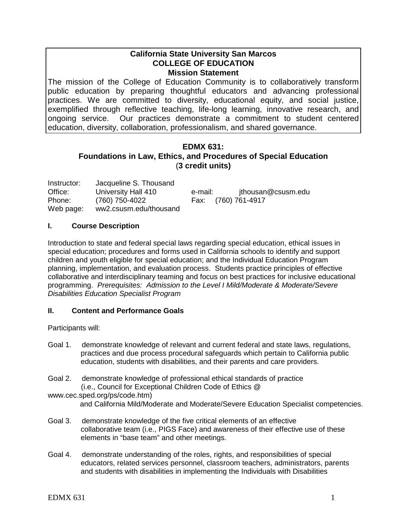### **California State University San Marcos COLLEGE OF EDUCATION Mission Statement**

The mission of the College of Education Community is to collaboratively transform public education by preparing thoughtful educators and advancing professional practices. We are committed to diversity, educational equity, and social justice, exemplified through reflective teaching, life-long learning, innovative research, and ongoing service. Our practices demonstrate a commitment to student centered education, diversity, collaboration, professionalism, and shared governance.

# **EDMX 631: Foundations in Law, Ethics, and Procedures of Special Education** (**3 credit units)**

| Instructor: | Jacqueline S. Thousand |         |                     |
|-------------|------------------------|---------|---------------------|
| Office:     | University Hall 410    | e-mail: | jthousan@csusm.edu  |
| Phone:      | (760) 750-4022         |         | Fax: (760) 761-4917 |
| Web page:   | ww2.csusm.edu/thousand |         |                     |

### **I. Course Description**

Introduction to state and federal special laws regarding special education, ethical issues in special education; procedures and forms used in California schools to identify and support children and youth eligible for special education; and the Individual Education Program planning, implementation, and evaluation process. Students practice principles of effective collaborative and interdisciplinary teaming and focus on best practices for inclusive educational programming. *Prerequisites: Admission to the Level I Mild/Moderate & Moderate/Severe Disabilities Education Specialist Program*

# **II. Content and Performance Goals**

Participants will:

- Goal 1. demonstrate knowledge of relevant and current federal and state laws, regulations, practices and due process procedural safeguards which pertain to California public education, students with disabilities, and their parents and care providers.
- Goal 2. demonstrate knowledge of professional ethical standards of practice (i.e., Council for Exceptional Children Code of Ethics @

www.cec.sped.org/ps/code.htm)

and California Mild/Moderate and Moderate/Severe Education Specialist competencies.

- Goal 3. demonstrate knowledge of the five critical elements of an effective collaborative team (i.e., PIGS Face) and awareness of their effective use of these elements in "base team" and other meetings.
- Goal 4. demonstrate understanding of the roles, rights, and responsibilities of special educators, related services personnel, classroom teachers, administrators, parents and students with disabilities in implementing the Individuals with Disabilities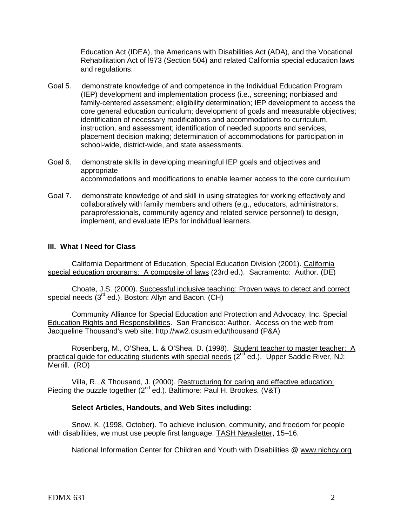Education Act (IDEA), the Americans with Disabilities Act (ADA), and the Vocational Rehabilitation Act of l973 (Section 504) and related California special education laws and regulations.

- Goal 5. demonstrate knowledge of and competence in the Individual Education Program (IEP) development and implementation process (i.e., screening; nonbiased and family-centered assessment; eligibility determination; IEP development to access the core general education curriculum; development of goals and measurable objectives; identification of necessary modifications and accommodations to curriculum, instruction, and assessment; identification of needed supports and services, placement decision making; determination of accommodations for participation in school-wide, district-wide, and state assessments.
- Goal 6. demonstrate skills in developing meaningful IEP goals and objectives and appropriate accommodations and modifications to enable learner access to the core curriculum
- Goal 7. demonstrate knowledge of and skill in using strategies for working effectively and collaboratively with family members and others (e.g., educators, administrators, paraprofessionals, community agency and related service personnel) to design, implement, and evaluate IEPs for individual learners.

### **III. What I Need for Class**

California Department of Education, Special Education Division (2001). California special education programs: A composite of laws (23rd ed.). Sacramento: Author. (DE)

Choate, J.S. (2000). Successful inclusive teaching: Proven ways to detect and correct special needs (3<sup>rd</sup> ed.). Boston: Allyn and Bacon. (CH)

Community Alliance for Special Education and Protection and Advocacy, Inc. Special Education Rights and Responsibilities. San Francisco: Author. Access on the web from Jacqueline Thousand's web site: http://ww2.csusm.edu/thousand (P&A)

Rosenberg, M., O'Shea, L. & O'Shea, D. (1998). Student teacher to master teacher: A practical guide for educating students with special needs  $\overline{(2^{nd}$  ed.). Upper Saddle River, NJ: Merrill. (RO)

Villa, R., & Thousand, J. (2000). Restructuring for caring and effective education: Piecing the puzzle together (2<sup>nd</sup> ed.). Baltimore: Paul H. Brookes. (V&T)

#### **Select Articles, Handouts, and Web Sites including:**

Snow, K. (1998, October). To achieve inclusion, community, and freedom for people with disabilities, we must use people first language. TASH Newsletter, 15–16.

National Information Center for Children and Youth with Disabilities @ www.nichcy.org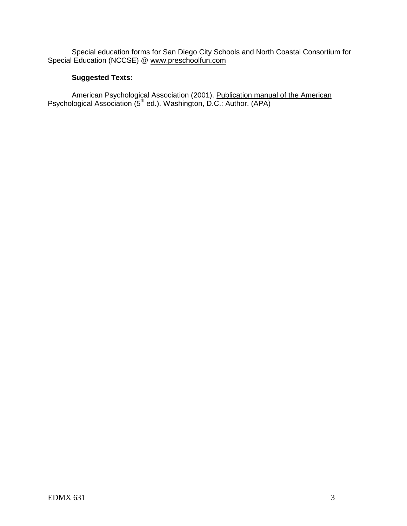Special education forms for San Diego City Schools and North Coastal Consortium for Special Education (NCCSE) @ [www.preschoolfun.com](http://www.preschoolfun.com/)

# **Suggested Texts:**

American Psychological Association (2001). Publication manual of the American Psychological Association (5<sup>th</sup> ed.). Washington, D.C.: Author. (APA)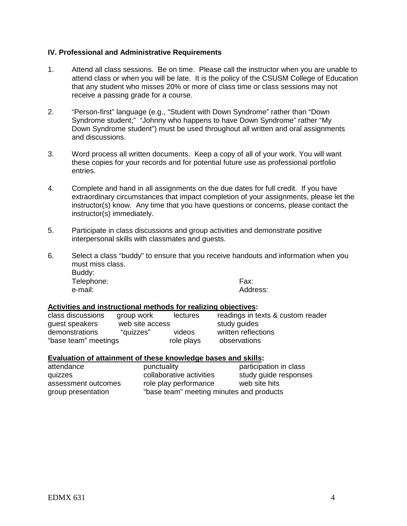### **IV. Professional and Administrative Requirements**

- 1. Attend all class sessions. Be on time. Please call the instructor when you are unable to attend class or when you will be late. It is the policy of the CSUSM College of Education that any student who misses 20% or more of class time or class sessions may not receive a passing grade for a course.
- 2. "Person-first" language (e.g., "Student with Down Syndrome" rather than "Down Syndrome student;" "Johnny who happens to have Down Syndrome" rather "My Down Syndrome student") must be used throughout all written and oral assignments and discussions.
- 3. Word process all written documents. Keep a copy of all of your work. You will want these copies for your records and for potential future use as professional portfolio entries.
- 4. Complete and hand in all assignments on the due dates for full credit. If you have extraordinary circumstances that impact completion of your assignments, please let the instructor(s) know. Any time that you have questions or concerns, please contact the instructor(s) immediately.
- 5. Participate in class discussions and group activities and demonstrate positive interpersonal skills with classmates and guests.
- 6. Select a class "buddy" to ensure that you receive handouts and information when you must miss class. Buddy: Telephone: Fax:

e-mail: Address:

#### **Activities and instructional methods for realizing objectives:**

| class discussions    | group work      | lectures   | readings in texts & custom reader |  |
|----------------------|-----------------|------------|-----------------------------------|--|
| guest speakers       | web site access |            | study guides                      |  |
| demonstrations       | "quizzes"       | videos     | written reflections               |  |
| "base team" meetings |                 | role plays | observations                      |  |

#### **Evaluation of attainment of these knowledge bases and skills:**

| attendance          | punctuality                              | participation in class |
|---------------------|------------------------------------------|------------------------|
| quizzes             | collaborative activities                 | study guide responses  |
| assessment outcomes | role play performance                    | web site hits          |
| group presentation  | "base team" meeting minutes and products |                        |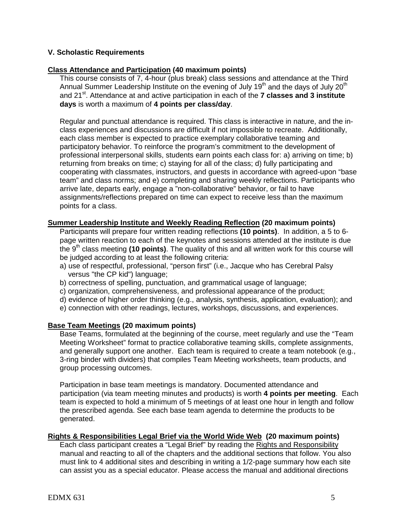### **V. Scholastic Requirements**

### **Class Attendance and Participation (40 maximum points)**

This course consists of 7, 4-hour (plus break) class sessions and attendance at the Third Annual Summer Leadership Institute on the evening of July 19<sup>th</sup> and the days of July 20<sup>th</sup> and 21<sup>st</sup>. Attendance at and active participation in each of the **7 classes and 3 institute days** is worth a maximum of **4 points per class/day**.

Regular and punctual attendance is required. This class is interactive in nature, and the inclass experiences and discussions are difficult if not impossible to recreate. Additionally, each class member is expected to practice exemplary collaborative teaming and participatory behavior. To reinforce the program's commitment to the development of professional interpersonal skills, students earn points each class for: a) arriving on time; b) returning from breaks on time; c) staying for all of the class; d) fully participating and cooperating with classmates, instructors, and guests in accordance with agreed-upon "base team" and class norms; and e) completing and sharing weekly reflections. Participants who arrive late, departs early, engage a "non-collaborative" behavior, or fail to have assignments/reflections prepared on time can expect to receive less than the maximum points for a class.

### **Summer Leadership Institute and Weekly Reading Reflection (20 maximum points)**

Participants will prepare four written reading reflections **(10 points)**. In addition, a 5 to 6 page written reaction to each of the keynotes and sessions attended at the institute is due the 9th class meeting **(10 points)**. The quality of this and all written work for this course will be judged according to at least the following criteria:

- a) use of respectful, professional, "person first" (i.e., Jacque who has Cerebral Palsy versus "the CP kid") language;
- b) correctness of spelling, punctuation, and grammatical usage of language;
- c) organization, comprehensiveness, and professional appearance of the product;
- d) evidence of higher order thinking (e.g., analysis, synthesis, application, evaluation); and
- e) connection with other readings, lectures, workshops, discussions, and experiences.

### **Base Team Meetings (20 maximum points)**

Base Teams, formulated at the beginning of the course, meet regularly and use the "Team Meeting Worksheet" format to practice collaborative teaming skills, complete assignments, and generally support one another. Each team is required to create a team notebook (e.g., 3-ring binder with dividers) that compiles Team Meeting worksheets, team products, and group processing outcomes.

Participation in base team meetings is mandatory. Documented attendance and participation (via team meeting minutes and products) is worth **4 points per meeting**. Each team is expected to hold a minimum of 5 meetings of at least one hour in length and follow the prescribed agenda. See each base team agenda to determine the products to be generated.

### **Rights & Responsibilities Legal Brief via the World Wide Web (20 maximum points)**

Each class participant creates a "Legal Brief" by reading the Rights and Responsibility manual and reacting to all of the chapters and the additional sections that follow. You also must link to 4 additional sites and describing in writing a 1/2-page summary how each site can assist you as a special educator. Please access the manual and additional directions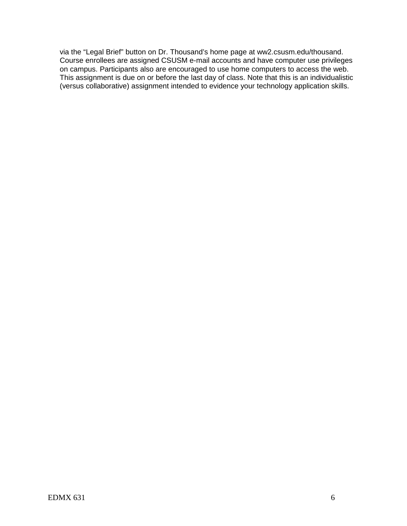via the "Legal Brief" button on Dr. Thousand's home page at ww2.csusm.edu/thousand. Course enrollees are assigned CSUSM e-mail accounts and have computer use privileges on campus. Participants also are encouraged to use home computers to access the web. This assignment is due on or before the last day of class. Note that this is an individualistic (versus collaborative) assignment intended to evidence your technology application skills.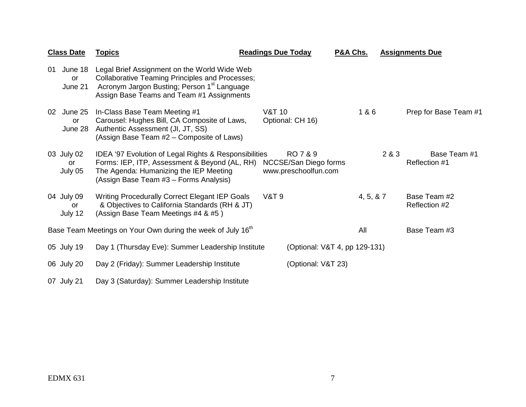|    | <b>Class Date</b>               | <b>Topics</b>                                                                                                                                                                                                  | <b>Readings Due Today</b> |                                                           | P&A Chs.   |       | <b>Assignments Due</b>        |
|----|---------------------------------|----------------------------------------------------------------------------------------------------------------------------------------------------------------------------------------------------------------|---------------------------|-----------------------------------------------------------|------------|-------|-------------------------------|
| 01 | June 18<br><b>or</b><br>June 21 | Legal Brief Assignment on the World Wide Web<br><b>Collaborative Teaming Principles and Processes;</b><br>Acronym Jargon Busting; Person 1 <sup>st</sup> Language<br>Assign Base Teams and Team #1 Assignments |                           |                                                           |            |       |                               |
| 02 | June 25<br>or<br>June 28        | In-Class Base Team Meeting #1<br>Carousel: Hughes Bill, CA Composite of Laws,<br>Authentic Assessment (JI, JT, SS)<br>(Assign Base Team #2 – Composite of Laws)                                                | <b>V&amp;T 10</b>         | Optional: CH 16)                                          | 1&6        |       | Prep for Base Team #1         |
|    | 03 July 02<br>or<br>July 05     | IDEA '97 Evolution of Legal Rights & Responsibilities<br>Forms: IEP, ITP, Assessment & Beyond (AL, RH)<br>The Agenda: Humanizing the IEP Meeting<br>(Assign Base Team #3 - Forms Analysis)                     |                           | RO 7 & 9<br>NCCSE/San Diego forms<br>www.preschoolfun.com |            | 2 & 3 | Base Team #1<br>Reflection #1 |
|    | 04 July 09<br>or<br>July 12     | Writing Procedurally Correct Elegant IEP Goals<br>& Objectives to California Standards (RH & JT)<br>(Assign Base Team Meetings #4 & #5)                                                                        | <b>V&amp;T 9</b>          |                                                           | 4, 5, 8, 7 |       | Base Team #2<br>Reflection #2 |
|    |                                 | Base Team Meetings on Your Own during the week of July 16 <sup>th</sup>                                                                                                                                        |                           |                                                           | All        |       | Base Team #3                  |
|    | 05 July 19                      | Day 1 (Thursday Eve): Summer Leadership Institute                                                                                                                                                              |                           | (Optional: V&T 4, pp 129-131)                             |            |       |                               |
|    | 06 July 20                      | Day 2 (Friday): Summer Leadership Institute                                                                                                                                                                    |                           | (Optional: V&T 23)                                        |            |       |                               |
|    | 07 July 21                      | Day 3 (Saturday): Summer Leadership Institute                                                                                                                                                                  |                           |                                                           |            |       |                               |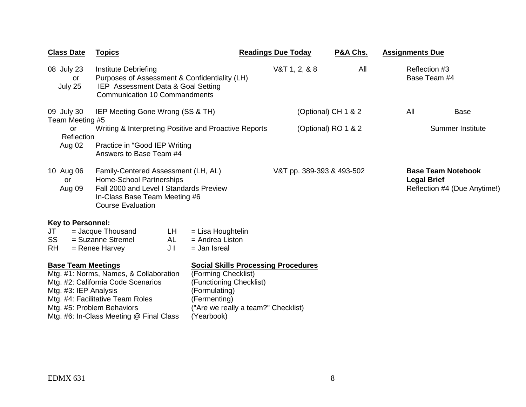| <b>Class Date</b>                                                                | <b>Topics</b>                                                                                                                                                                  |                                                                                                                                                                                    | <b>Readings Due Today</b> | P&A Chs. | <b>Assignments Due</b>                          |                              |
|----------------------------------------------------------------------------------|--------------------------------------------------------------------------------------------------------------------------------------------------------------------------------|------------------------------------------------------------------------------------------------------------------------------------------------------------------------------------|---------------------------|----------|-------------------------------------------------|------------------------------|
| 08 July 23<br>or<br>July 25                                                      | Institute Debriefing<br>Purposes of Assessment & Confidentiality (LH)<br>IEP Assessment Data & Goal Setting<br><b>Communication 10 Commandments</b>                            |                                                                                                                                                                                    | $V&T$ 1, 2, & 8           | All      | Reflection #3<br>Base Team #4                   |                              |
| 09 July 30<br>Team Meeting #5                                                    | IEP Meeting Gone Wrong (SS & TH)                                                                                                                                               |                                                                                                                                                                                    | (Optional) CH 1 & 2       |          | All                                             | Base                         |
| <b>or</b><br>Reflection                                                          | Writing & Interpreting Positive and Proactive Reports                                                                                                                          |                                                                                                                                                                                    | (Optional) RO 1 & 2       |          |                                                 | <b>Summer Institute</b>      |
| Aug 02                                                                           | Practice in "Good IEP Writing<br>Answers to Base Team #4                                                                                                                       |                                                                                                                                                                                    |                           |          |                                                 |                              |
| 10 Aug 06<br>or<br>Aug 09                                                        | Family-Centered Assessment (LH, AL)<br><b>Home-School Partnerships</b><br>Fall 2000 and Level I Standards Preview<br>In-Class Base Team Meeting #6<br><b>Course Evaluation</b> |                                                                                                                                                                                    | V&T pp. 389-393 & 493-502 |          | <b>Base Team Notebook</b><br><b>Legal Brief</b> | Reflection #4 (Due Anytime!) |
| <b>Key to Personnel:</b>                                                         |                                                                                                                                                                                |                                                                                                                                                                                    |                           |          |                                                 |                              |
| JT<br>SS                                                                         | LH.<br>= Jacque Thousand<br>= Suzanne Stremel<br>AL                                                                                                                            | = Lisa Houghtelin<br>$=$ Andrea Liston                                                                                                                                             |                           |          |                                                 |                              |
| <b>RH</b>                                                                        | $=$ Renee Harvey<br>JI                                                                                                                                                         | $=$ Jan Isreal                                                                                                                                                                     |                           |          |                                                 |                              |
| <b>Base Team Meetings</b><br>Mtg. #3: IEP Analysis<br>Mtg. #5: Problem Behaviors | Mtg. #1: Norms, Names, & Collaboration<br>Mtg. #2: California Code Scenarios<br>Mtg. #4: Facilitative Team Roles<br>Mtg. #6: In-Class Meeting @ Final Class                    | <b>Social Skills Processing Procedures</b><br>(Forming Checklist)<br>(Functioning Checklist)<br>(Formulating)<br>(Fermenting)<br>("Are we really a team?" Checklist)<br>(Yearbook) |                           |          |                                                 |                              |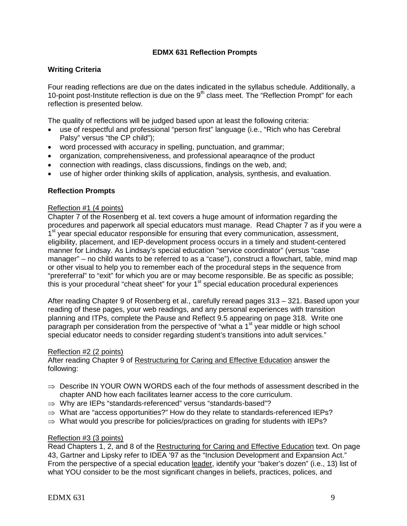### **EDMX 631 Reflection Prompts**

### **Writing Criteria**

Four reading reflections are due on the dates indicated in the syllabus schedule. Additionally, a 10-point post-Institute reflection is due on the  $9<sup>th</sup>$  class meet. The "Reflection Prompt" for each reflection is presented below.

The quality of reflections will be judged based upon at least the following criteria:

- use of respectful and professional "person first" language (i.e., "Rich who has Cerebral Palsy" versus "the CP child");
- word processed with accuracy in spelling, punctuation, and grammar;
- organization, comprehensiveness, and professional apearaqnce of the product
- connection with readings, class discussions, findings on the web, and;
- use of higher order thinking skills of application, analysis, synthesis, and evaluation.

#### **Reflection Prompts**

#### Reflection #1 (4 points)

Chapter 7 of the Rosenberg et al. text covers a huge amount of information regarding the procedures and paperwork all special educators must manage. Read Chapter 7 as if you were a 1<sup>st</sup> year special educator responsible for ensuring that every communication, assessment, eligibility, placement, and IEP-development process occurs in a timely and student-centered manner for Lindsay. As Lindsay's special education "service coordinator" (versus "case manager" – no child wants to be referred to as a "case"), construct a flowchart, table, mind map or other visual to help you to remember each of the procedural steps in the sequence from "prereferral" to "exit" for which you are or may become responsible. Be as specific as possible; this is your procedural "cheat sheet" for your 1<sup>st</sup> special education procedural experiences

After reading Chapter 9 of Rosenberg et al., carefully reread pages 313 – 321. Based upon your reading of these pages, your web readings, and any personal experiences with transition planning and ITPs, complete the Pause and Reflect 9.5 appearing on page 318. Write one paragraph per consideration from the perspective of "what a 1<sup>st</sup> year middle or high school special educator needs to consider regarding student's transitions into adult services."

#### Reflection #2 (2 points)

After reading Chapter 9 of Restructuring for Caring and Effective Education answer the following:

- $\Rightarrow$  Describe IN YOUR OWN WORDS each of the four methods of assessment described in the chapter AND how each facilitates learner access to the core curriculum.
- ⇒ Why are IEPs "standards-referenced" versus "standards-based"?
- $\Rightarrow$  What are "access opportunities?" How do they relate to standards-referenced IEPs?
- $\Rightarrow$  What would you prescribe for policies/practices on grading for students with IEPs?

#### Reflection #3 (3 points)

Read Chapters 1, 2, and 8 of the Restructuring for Caring and Effective Education text. On page 43, Gartner and Lipsky refer to IDEA '97 as the "Inclusion Development and Expansion Act." From the perspective of a special education leader, identify your "baker's dozen" (i.e., 13) list of what YOU consider to be the most significant changes in beliefs, practices, polices, and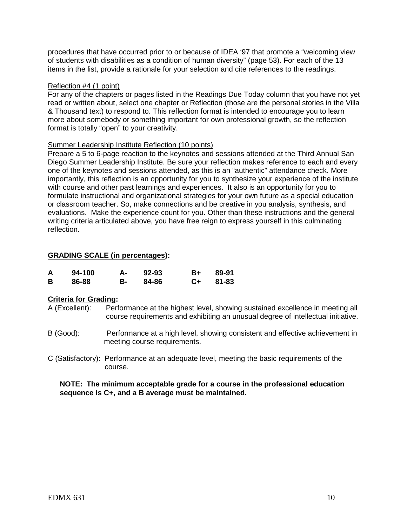procedures that have occurred prior to or because of IDEA '97 that promote a "welcoming view of students with disabilities as a condition of human diversity" (page 53). For each of the 13 items in the list, provide a rationale for your selection and cite references to the readings.

### Reflection #4 (1 point)

For any of the chapters or pages listed in the Readings Due Today column that you have not yet read or written about, select one chapter or Reflection (those are the personal stories in the Villa & Thousand text) to respond to. This reflection format is intended to encourage you to learn more about somebody or something important for own professional growth, so the reflection format is totally "open" to your creativity.

### Summer Leadership Institute Reflection (10 points)

Prepare a 5 to 6-page reaction to the keynotes and sessions attended at the Third Annual San Diego Summer Leadership Institute. Be sure your reflection makes reference to each and every one of the keynotes and sessions attended, as this is an "authentic" attendance check. More importantly, this reflection is an opportunity for you to synthesize your experience of the institute with course and other past learnings and experiences. It also is an opportunity for you to formulate instructional and organizational strategies for your own future as a special education or classroom teacher. So, make connections and be creative in you analysis, synthesis, and evaluations. Make the experience count for you. Other than these instructions and the general writing criteria articulated above, you have free reign to express yourself in this culminating reflection.

### **GRADING SCALE (in percentages):**

| A | 94-100 | А-   | 92-93 | <b>B</b> + | 89-91 |
|---|--------|------|-------|------------|-------|
| В | 86-88  | B- 1 | 84-86 | $C+$       | 81-83 |

#### **Criteria for Grading:**

A (Excellent): Performance at the highest level, showing sustained excellence in meeting all course requirements and exhibiting an unusual degree of intellectual initiative.

- B (Good): Performance at a high level, showing consistent and effective achievement in meeting course requirements.
- C (Satisfactory): Performance at an adequate level, meeting the basic requirements of the course.

### **NOTE: The minimum acceptable grade for a course in the professional education sequence is C+, and a B average must be maintained.**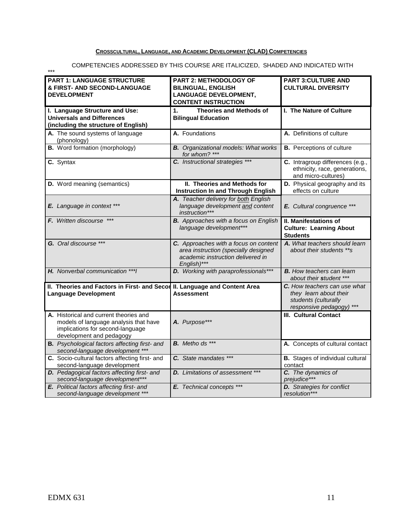### **CROSSCULTURAL, LANGUAGE, AND ACADEMIC DEVELOPMENT (CLAD) COMPETENCIES**

\*\*\*

#### COMPETENCIES ADDRESSED BY THIS COURSE ARE ITALICIZED, SHADED AND INDICATED WITH

| <b>PART 1: LANGUAGE STRUCTURE</b><br>& FIRST- AND SECOND-LANGUAGE<br><b>DEVELOPMENT</b>                                                         | <b>PART 2: METHODOLOGY OF</b><br><b>BILINGUAL, ENGLISH</b><br><b>LANGUAGE DEVELOPMENT,</b><br><b>CONTENT INSTRUCTION</b>          | <b>PART 3:CULTURE AND</b><br><b>CULTURAL DIVERSITY</b>                                                 |
|-------------------------------------------------------------------------------------------------------------------------------------------------|-----------------------------------------------------------------------------------------------------------------------------------|--------------------------------------------------------------------------------------------------------|
| I. Language Structure and Use:<br><b>Universals and Differences</b><br>(including the structure of English)                                     | $\mathbf{1}$ .<br><b>Theories and Methods of</b><br><b>Bilingual Education</b>                                                    | I. The Nature of Culture                                                                               |
| A. The sound systems of language<br>(phonology)                                                                                                 | A. Foundations                                                                                                                    | A. Definitions of culture                                                                              |
| <b>B.</b> Word formation (morphology)                                                                                                           | <b>B.</b> Organizational models: What works<br>for whom? ***                                                                      | <b>B.</b> Perceptions of culture                                                                       |
| C. Syntax                                                                                                                                       | C. Instructional strategies ***                                                                                                   | C. Intragroup differences (e.g.,<br>ethnicity, race, generations,<br>and micro-cultures)               |
| D. Word meaning (semantics)                                                                                                                     | II. Theories and Methods for<br><b>Instruction In and Through English</b>                                                         | D. Physical geography and its<br>effects on culture                                                    |
| E. Language in context ***                                                                                                                      | A. Teacher delivery for both English<br>language development and content<br>instruction***                                        | E. Cultural congruence ***                                                                             |
| F. Written discourse                                                                                                                            | <b>B.</b> Approaches with a focus on English<br>language development***                                                           | <b>II. Manifestations of</b><br><b>Culture: Learning About</b><br><b>Students</b>                      |
| G. Oral discourse ***                                                                                                                           | C. Approaches with a focus on content<br>area instruction (specially designed<br>academic instruction delivered in<br>English)*** | A. What teachers should learn<br>about their students **s                                              |
| H. Nonverbal communication *** I                                                                                                                | <b>D.</b> Working with paraprofessionals***                                                                                       | <b>B.</b> How teachers can learn<br>about their student ***                                            |
| II. Theories and Factors in First- and Secon<br><b>Language Development</b>                                                                     | II. Language and Content Area<br><b>Assessment</b>                                                                                | C. How teachers can use what<br>they learn about their<br>students (culturally<br>responsive pedagogy) |
| A. Historical and current theories and<br>models of language analysis that have<br>implications for second-language<br>development and pedagogy | A. Purpose***                                                                                                                     | <b>III. Cultural Contact</b>                                                                           |
| <b>B.</b> Psychological factors affecting first- and<br>second-language development ***                                                         | <b>B.</b> Metho ds ***                                                                                                            | A. Concepts of cultural contact                                                                        |
| C. Socio-cultural factors affecting first- and<br>second-language development                                                                   | C. State mandates ***                                                                                                             | <b>B.</b> Stages of individual cultural<br>contact                                                     |
| <b>D.</b> Pedagogical factors affecting first- and<br>second-language development***                                                            | <b>D.</b> Limitations of assessment ***                                                                                           | C. The dynamics of<br>prejudice***                                                                     |
| E. Political factors affecting first- and<br>second-language development ***                                                                    | E. Technical concepts ***                                                                                                         | <b>D.</b> Strategies for conflict<br>resolution***                                                     |